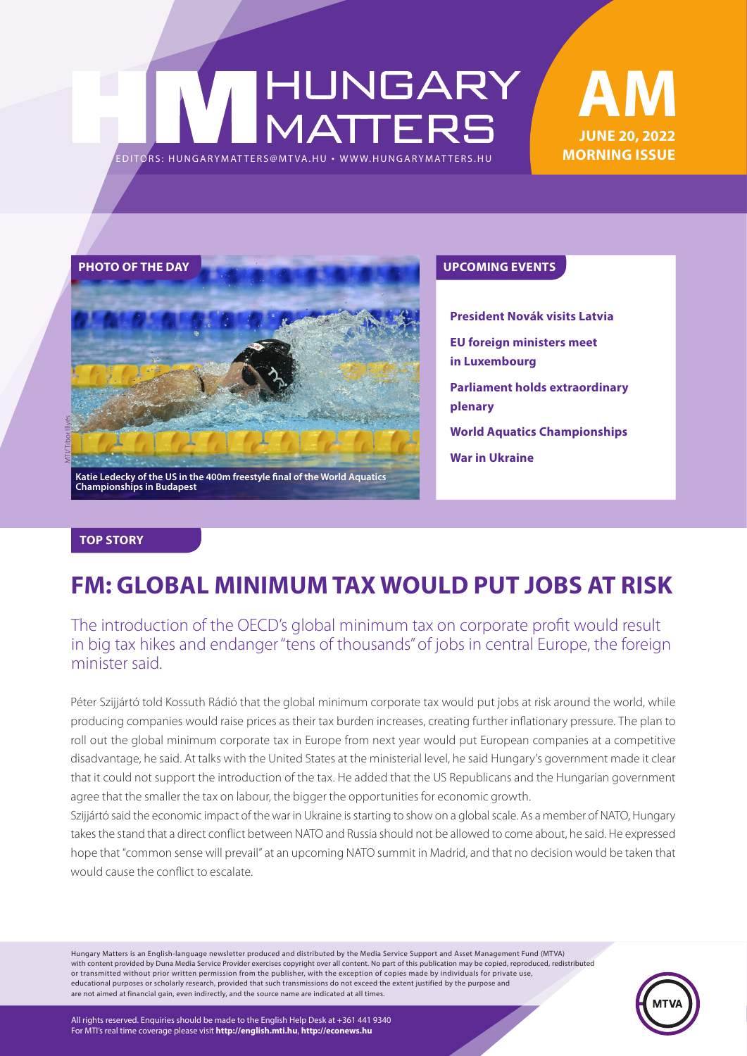# HUNGARY<br>MATTERS EDITORS: HUNGARYMATTERS@MTVA.HU





**President Novák visits Latvia EU foreign ministers meet in Luxembourg Parliament holds extraordinary plenary World Aquatics Championships War in Ukraine**

#### **TOP STORY**

# **FM: GLOBAL MINIMUM TAX WOULD PUT JOBS AT RISK**

The introduction of the OECD's global minimum tax on corporate profit would result in big tax hikes and endanger "tens of thousands" of jobs in central Europe, the foreign minister said.

Péter Szijjártó told Kossuth Rádió that the global minimum corporate tax would put jobs at risk around the world, while producing companies would raise prices as their tax burden increases, creating further inflationary pressure. The plan to roll out the global minimum corporate tax in Europe from next year would put European companies at a competitive disadvantage, he said. At talks with the United States at the ministerial level, he said Hungary's government made it clear that it could not support the introduction of the tax. He added that the US Republicans and the Hungarian government agree that the smaller the tax on labour, the bigger the opportunities for economic growth.

Szijjártó said the economic impact of the war in Ukraine is starting to show on a global scale. As a member of NATO, Hungary takes the stand that a direct conflict between NATO and Russia should not be allowed to come about, he said. He expressed hope that "common sense will prevail" at an upcoming NATO summit in Madrid, and that no decision would be taken that would cause the conflict to escalate.

Hungary Matters is an English-language newsletter produced and distributed by the Media Service Support and Asset Management Fund (MTVA) with content provided by Duna Media Service Provider exercises copyright over all content. No part of this publication may be copied, reproduced, redistributed or transmitted without prior written permission from the publisher, with the exception of copies made by individuals for private use, educational purposes or scholarly research, provided that such transmissions do not exceed the extent justified by the purpose and are not aimed at financial gain, even indirectly, and the source name are indicated at all times.

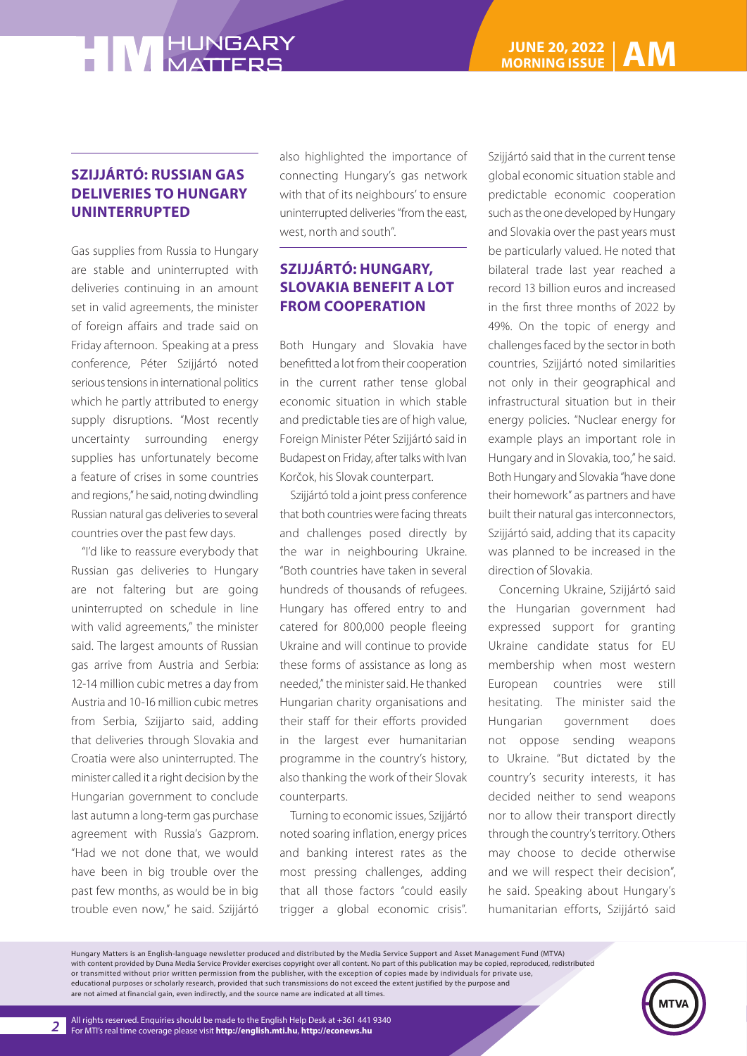### **SZIJJÁRTÓ: RUSSIAN GAS DELIVERIES TO HUNGARY UNINTERRUPTED**

Gas supplies from Russia to Hungary are stable and uninterrupted with deliveries continuing in an amount set in valid agreements, the minister of foreign affairs and trade said on Friday afternoon. Speaking at a press conference, Péter Szijjártó noted serious tensions in international politics which he partly attributed to energy supply disruptions. "Most recently uncertainty surrounding energy supplies has unfortunately become a feature of crises in some countries and regions," he said, noting dwindling Russian natural gas deliveries to several countries over the past few days.

"I'd like to reassure everybody that Russian gas deliveries to Hungary are not faltering but are going uninterrupted on schedule in line with valid agreements," the minister said. The largest amounts of Russian gas arrive from Austria and Serbia: 12-14 million cubic metres a day from Austria and 10-16 million cubic metres from Serbia, Szijjarto said, adding that deliveries through Slovakia and Croatia were also uninterrupted. The minister called it a right decision by the Hungarian government to conclude last autumn a long-term gas purchase agreement with Russia's Gazprom. "Had we not done that, we would have been in big trouble over the past few months, as would be in big trouble even now," he said. Szijjártó

also highlighted the importance of connecting Hungary's gas network with that of its neighbours' to ensure uninterrupted deliveries "from the east, west, north and south".

## **SZIJJÁRTÓ: HUNGARY, SLOVAKIA BENEFIT A LOT FROM COOPERATION**

Both Hungary and Slovakia have benefitted a lot from their cooperation in the current rather tense global economic situation in which stable and predictable ties are of high value, Foreign Minister Péter Szijjártó said in Budapest on Friday, after talks with Ivan Korčok, his Slovak counterpart.

Szijjártó told a joint press conference that both countries were facing threats and challenges posed directly by the war in neighbouring Ukraine. "Both countries have taken in several hundreds of thousands of refugees. Hungary has offered entry to and catered for 800,000 people fleeing Ukraine and will continue to provide these forms of assistance as long as needed," the minister said. He thanked Hungarian charity organisations and their staff for their efforts provided in the largest ever humanitarian programme in the country's history, also thanking the work of their Slovak counterparts.

Turning to economic issues, Szijjártó noted soaring inflation, energy prices and banking interest rates as the most pressing challenges, adding that all those factors "could easily trigger a global economic crisis".

Szijjártó said that in the current tense global economic situation stable and predictable economic cooperation such as the one developed by Hungary and Slovakia over the past years must be particularly valued. He noted that bilateral trade last year reached a record 13 billion euros and increased in the first three months of 2022 by 49%. On the topic of energy and challenges faced by the sector in both countries, Szijjártó noted similarities not only in their geographical and infrastructural situation but in their energy policies. "Nuclear energy for example plays an important role in Hungary and in Slovakia, too," he said. Both Hungary and Slovakia "have done their homework" as partners and have built their natural gas interconnectors, Szijjártó said, adding that its capacity was planned to be increased in the direction of Slovakia.

Concerning Ukraine, Szijjártó said the Hungarian government had expressed support for granting Ukraine candidate status for EU membership when most western European countries were still hesitating. The minister said the Hungarian government does not oppose sending weapons to Ukraine. "But dictated by the country's security interests, it has decided neither to send weapons nor to allow their transport directly through the country's territory. Others may choose to decide otherwise and we will respect their decision", he said. Speaking about Hungary's humanitarian efforts, Szijjártó said

Hungary Matters is an English-language newsletter produced and distributed by the Media Service Support and Asset Management Fund (MTVA) with content provided by Duna Media Service Provider exercises copyright over all content. No part of this publication may be copied, reproduced, redistributed or transmitted without prior written permission from the publisher, with the exception of copies made by individuals for private use, educational purposes or scholarly research, provided that such transmissions do not exceed the extent justified by the purpose and are not aimed at financial gain, even indirectly, and the source name are indicated at all times.

*2*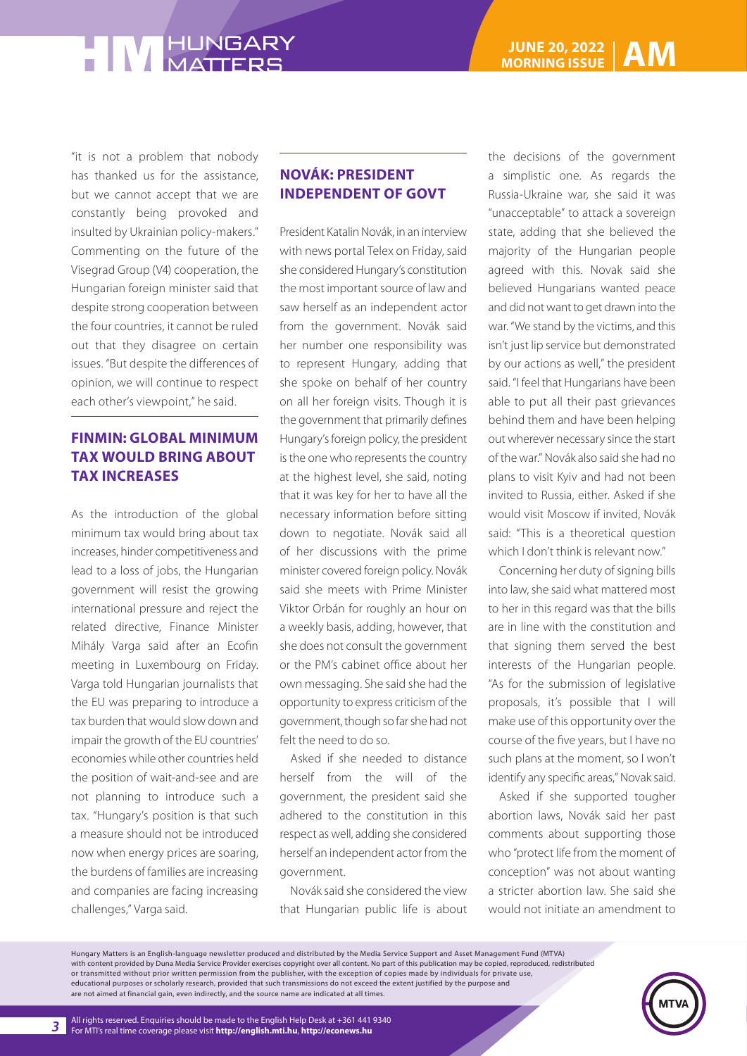"it is not a problem that nobody has thanked us for the assistance, but we cannot accept that we are constantly being provoked and insulted by Ukrainian policy-makers." Commenting on the future of the Visegrad Group (V4) cooperation, the Hungarian foreign minister said that despite strong cooperation between the four countries, it cannot be ruled out that they disagree on certain issues. "But despite the differences of opinion, we will continue to respect each other's viewpoint," he said.

### **FINMIN: GLOBAL MINIMUM TAX WOULD BRING ABOUT TAX INCREASES**

As the introduction of the global minimum tax would bring about tax increases, hinder competitiveness and lead to a loss of jobs, the Hungarian government will resist the growing international pressure and reject the related directive, Finance Minister Mihály Varga said after an Ecofin meeting in Luxembourg on Friday. Varga told Hungarian journalists that the EU was preparing to introduce a tax burden that would slow down and impair the growth of the EU countries' economies while other countries held the position of wait-and-see and are not planning to introduce such a tax. "Hungary's position is that such a measure should not be introduced now when energy prices are soaring, the burdens of families are increasing and companies are facing increasing challenges," Varga said.

### **NOVÁK: PRESIDENT INDEPENDENT OF GOVT**

President Katalin Novák, in an interview with news portal Telex on Friday, said she considered Hungary's constitution the most important source of law and saw herself as an independent actor from the government. Novák said her number one responsibility was to represent Hungary, adding that she spoke on behalf of her country on all her foreign visits. Though it is the government that primarily defines Hungary's foreign policy, the president is the one who represents the country at the highest level, she said, noting that it was key for her to have all the necessary information before sitting down to negotiate. Novák said all of her discussions with the prime minister covered foreign policy. Novák said she meets with Prime Minister Viktor Orbán for roughly an hour on a weekly basis, adding, however, that she does not consult the government or the PM's cabinet office about her own messaging. She said she had the opportunity to express criticism of the government, though so far she had not felt the need to do so.

Asked if she needed to distance herself from the will of the government, the president said she adhered to the constitution in this respect as well, adding she considered herself an independent actor from the government.

Novák said she considered the view that Hungarian public life is about the decisions of the government a simplistic one. As regards the Russia-Ukraine war, she said it was "unacceptable" to attack a sovereign state, adding that she believed the majority of the Hungarian people agreed with this. Novak said she believed Hungarians wanted peace and did not want to get drawn into the war. "We stand by the victims, and this isn't just lip service but demonstrated by our actions as well," the president said. "I feel that Hungarians have been able to put all their past grievances behind them and have been helping out wherever necessary since the start of the war." Novák also said she had no plans to visit Kyiv and had not been invited to Russia, either. Asked if she would visit Moscow if invited, Novák said: "This is a theoretical question which I don't think is relevant now."

Concerning her duty of signing bills into law, she said what mattered most to her in this regard was that the bills are in line with the constitution and that signing them served the best interests of the Hungarian people. "As for the submission of legislative proposals, it's possible that I will make use of this opportunity over the course of the five years, but I have no such plans at the moment, so I won't identify any specific areas," Novak said.

Asked if she supported tougher abortion laws, Novák said her past comments about supporting those who "protect life from the moment of conception" was not about wanting a stricter abortion law. She said she would not initiate an amendment to

Hungary Matters is an English-language newsletter produced and distributed by the Media Service Support and Asset Management Fund (MTVA) with content provided by Duna Media Service Provider exercises copyright over all content. No part of this publication may be copied, reproduced, redistributed or transmitted without prior written permission from the publisher, with the exception of copies made by individuals for private use, educational purposes or scholarly research, provided that such transmissions do not exceed the extent justified by the purpose and are not aimed at financial gain, even indirectly, and the source name are indicated at all times.

*3*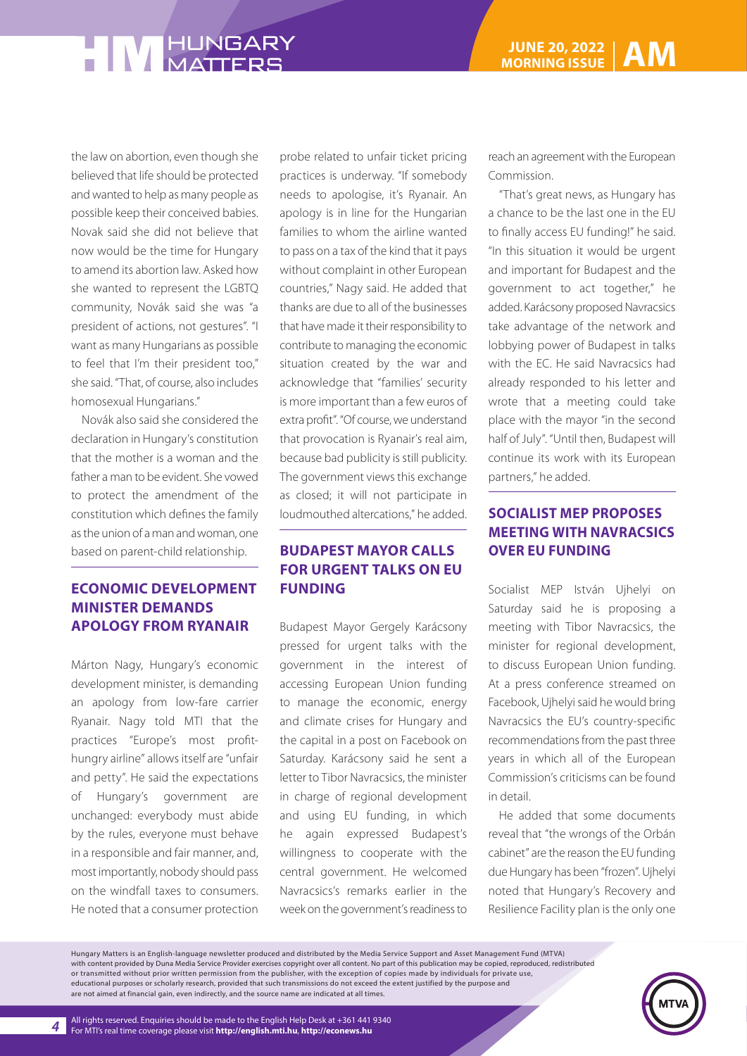the law on abortion, even though she believed that life should be protected and wanted to help as many people as possible keep their conceived babies. Novak said she did not believe that now would be the time for Hungary to amend its abortion law. Asked how she wanted to represent the LGBTQ community, Novák said she was "a president of actions, not gestures". "I want as many Hungarians as possible to feel that I'm their president too," she said. "That, of course, also includes homosexual Hungarians."

Novák also said she considered the declaration in Hungary's constitution that the mother is a woman and the father a man to be evident. She vowed to protect the amendment of the constitution which defines the family as the union of a man and woman, one based on parent-child relationship.

#### **ECONOMIC DEVELOPMENT MINISTER DEMANDS APOLOGY FROM RYANAIR**

Márton Nagy, Hungary's economic development minister, is demanding an apology from low-fare carrier Ryanair. Nagy told MTI that the practices "Europe's most profithungry airline" allows itself are "unfair and petty". He said the expectations of Hungary's government are unchanged: everybody must abide by the rules, everyone must behave in a responsible and fair manner, and, most importantly, nobody should pass on the windfall taxes to consumers. He noted that a consumer protection

probe related to unfair ticket pricing practices is underway. "If somebody needs to apologise, it's Ryanair. An apology is in line for the Hungarian families to whom the airline wanted to pass on a tax of the kind that it pays without complaint in other European countries," Nagy said. He added that thanks are due to all of the businesses that have made it their responsibility to contribute to managing the economic situation created by the war and acknowledge that "families' security is more important than a few euros of extra profit". "Of course, we understand that provocation is Ryanair's real aim, because bad publicity is still publicity. The government views this exchange as closed; it will not participate in loudmouthed altercations," he added.

#### **BUDAPEST MAYOR CALLS FOR URGENT TALKS ON EU FUNDING**

Budapest Mayor Gergely Karácsony pressed for urgent talks with the government in the interest of accessing European Union funding to manage the economic, energy and climate crises for Hungary and the capital in a post on Facebook on Saturday. Karácsony said he sent a letter to Tibor Navracsics, the minister in charge of regional development and using EU funding, in which he again expressed Budapest's willingness to cooperate with the central government. He welcomed Navracsics's remarks earlier in the week on the government's readiness to

reach an agreement with the European Commission.

"That's great news, as Hungary has a chance to be the last one in the EU to finally access EU funding!" he said. "In this situation it would be urgent and important for Budapest and the government to act together," he added. Karácsony proposed Navracsics take advantage of the network and lobbying power of Budapest in talks with the EC. He said Navracsics had already responded to his letter and wrote that a meeting could take place with the mayor "in the second half of July". "Until then, Budapest will continue its work with its European partners," he added.

#### **SOCIALIST MEP PROPOSES MEETING WITH NAVRACSICS OVER EU FUNDING**

Socialist MEP István Ujhelyi on Saturday said he is proposing a meeting with Tibor Navracsics, the minister for regional development, to discuss European Union funding. At a press conference streamed on Facebook, Ujhelyi said he would bring Navracsics the EU's country-specific recommendations from the past three years in which all of the European Commission's criticisms can be found in detail.

He added that some documents reveal that "the wrongs of the Orbán cabinet" are the reason the EU funding due Hungary has been "frozen". Ujhelyi noted that Hungary's Recovery and Resilience Facility plan is the only one

Hungary Matters is an English-language newsletter produced and distributed by the Media Service Support and Asset Management Fund (MTVA) with content provided by Duna Media Service Provider exercises copyright over all content. No part of this publication may be copied, reproduced, redistributed or transmitted without prior written permission from the publisher, with the exception of copies made by individuals for private use, educational purposes or scholarly research, provided that such transmissions do not exceed the extent justified by the purpose and are not aimed at financial gain, even indirectly, and the source name are indicated at all times.

*4*